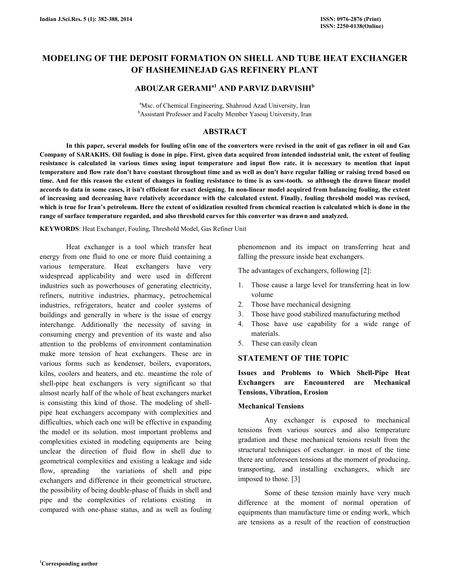# MODELING OF THE DEPOSIT FORMATION ON SHELL AND TUBE HEAT EXCHANGER OF HASHEMINEJAD GAS REFINERY PLANT

## ABOUZAR GERAMI<sup>a1</sup> AND PARVIZ DARVISHI<sup>b</sup>

<sup>a</sup>Msc. of Chemical Engineering, Shahroud Azad University, Iran <sup>b</sup>Assistant Professor and Faculty Member Yasouj University, Iran

## ABSTRACT

 In this paper, several models for fouling of/in one of the converters were revised in the unit of gas refiner in oil and Gas Company of SARAKHS. Oil fouling is done in pipe. First, given data acquired from intended industrial unit, the extent of fouling resistance is calculated in various times using input temperature and input flow rate. it is necessary to mention that input temperature and flow rate don't have constant throughout time and as well as don't have regular falling or raising trend based on time. And for this reason the extent of changes in fouling resistance to time is as saw-tooth. so although the drawn linear model accords to data in some cases, it isn't efficient for exact designing. In non-linear model acquired from balancing fouling, the extent of increasing and decreasing have relatively accordance with the calculated extent. Finally, fouling threshold model was revised, which is true for Iran's petroleum. Here the extent of oxidization resulted from chemical reaction is calculated which is done in the range of surface temperature regarded, and also threshold curves for this converter was drawn and analyzed.

KEYWORDS: Heat Exchanger, Fouling, Threshold Model, Gas Refiner Unit

 Heat exchanger is a tool which transfer heat energy from one fluid to one or more fluid containing a various temperature. Heat exchangers have very widespread applicability and were used in different industries such as powerhouses of generating electricity, refiners, nutritive industries, pharmacy, petrochemical industries, refrigerators, heater and cooler systems of buildings and generally in where is the issue of energy interchange. Additionally the necessity of saving in consuming energy and prevention of its waste and also attention to the problems of environment contamination make more tension of heat exchangers. These are in various forms such as kendenser, boilers, evaporators, kilns, coolers and heaters, and etc. meantime the role of shell-pipe heat exchangers is very significant so that almost nearly half of the whole of heat exchangers market is consisting this kind of those. The modeling of shellpipe heat exchangers accompany with complexities and difficulties, which each one will be effective in expanding the model or its solution. most important problems and complexities existed in modeling equipments are being unclear the direction of fluid flow in shell due to geometrical complexities and existing a leakage and side flow, spreading the variations of shell and pipe exchangers and difference in their geometrical structure, the possibility of being double-phase of fluids in shell and pipe and the complexities of relations existing in compared with one-phase status, and as well as fouling

phenomenon and its impact on transferring heat and falling the pressure inside heat exchangers.

The advantages of exchangers, following [2]:

- 1. Those cause a large level for transferring heat in low volume
- 2. Those have mechanical designing
- 3. Those have good stabilized manufacturing method
- 4. Those have use capability for a wide range of materials.
- 5. These can easily clean

## STATEMENT OF THE TOPIC

Issues and Problems to Which Shell-Pipe Heat Exchangers are Encountered are Mechanical Tensions, Vibration, Erosion

#### Mechanical Tensions

 Any exchanger is exposed to mechanical tensions from various sources and also temperature gradation and these mechanical tensions result from the structural techniques of exchanger. in most of the time there are unforeseen tensions at the moment of producing, transporting, and installing exchangers, which are imposed to those. [3]

 Some of these tension mainly have very much difference at the moment of normal operation of equipments than manufacture time or ending work, which are tensions as a result of the reaction of construction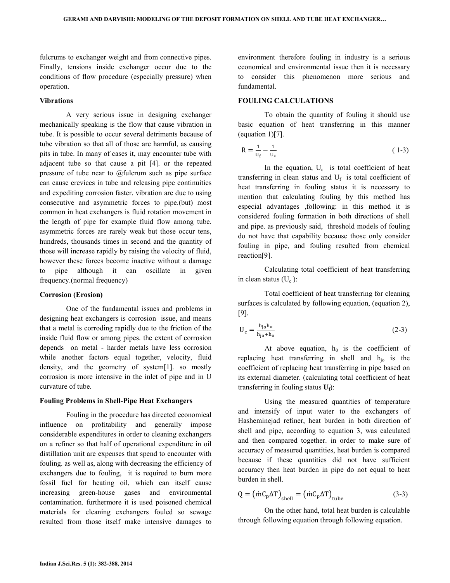fulcrums to exchanger weight and from connective pipes. Finally, tensions inside exchanger occur due to the conditions of flow procedure (especially pressure) when operation.

### Vibrations

 A very serious issue in designing exchanger mechanically speaking is the flow that cause vibration in tube. It is possible to occur several detriments because of tube vibration so that all of those are harmful, as causing pits in tube. In many of cases it, may encounter tube with adjacent tube so that cause a pit [4]. or the repeated pressure of tube near to  $\omega$  fulcrum such as pipe surface can cause crevices in tube and releasing pipe continuities and expediting corrosion faster. vibration are due to using consecutive and asymmetric forces to pipe.(but) most common in heat exchangers is fluid rotation movement in the length of pipe for example fluid flow among tube. asymmetric forces are rarely weak but those occur tens, hundreds, thousands times in second and the quantity of those will increase rapidly by raising the velocity of fluid, however these forces become inactive without a damage to pipe although it can oscillate in given frequency.(normal frequency)

#### Corrosion (Erosion)

 One of the fundamental issues and problems in designing heat exchangers is corrosion issue, and means that a metal is corroding rapidly due to the friction of the inside fluid flow or among pipes. the extent of corrosion depends on metal - harder metals have less corrosion while another factors equal together, velocity, fluid density, and the geometry of system[1]. so mostly corrosion is more intensive in the inlet of pipe and in U curvature of tube.

#### Fouling Problems in Shell-Pipe Heat Exchangers

 Fouling in the procedure has directed economical influence on profitability and generally impose considerable expenditures in order to cleaning exchangers on a refiner so that half of operational expenditure in oil distillation unit are expenses that spend to encounter with fouling. as well as, along with decreasing the efficiency of exchangers due to fouling, it is required to burn more fossil fuel for heating oil, which can itself cause increasing green-house gases and environmental contamination. furthermore it is used poisoned chemical materials for cleaning exchangers fouled so sewage resulted from those itself make intensive damages to

environment therefore fouling in industry is a serious economical and environmental issue then it is necessary to consider this phenomenon more serious and fundamental.

## FOULING CALCULATIONS

 To obtain the quantity of fouling it should use basic equation of heat transferring in this manner  $(equation 1)[7]$ .

$$
R = \frac{1}{U_f} - \frac{1}{U_c}
$$
 (1-3)

In the equation,  $U_c$  is total coefficient of heat transferring in clean status and  $U_f$  is total coefficient of heat transferring in fouling status it is necessary to mention that calculating fouling by this method has especial advantages ,following: in this method it is considered fouling formation in both directions of shell and pipe. as previously said, threshold models of fouling do not have that capability because those only consider fouling in pipe, and fouling resulted from chemical reaction[9].

 Calculating total coefficient of heat transferring in clean status  $(U_c)$ :

 Total coefficient of heat transferring for cleaning surfaces is calculated by following equation, (equation 2), [9].

$$
U_c = \frac{h_{jo}h_o}{h_{jo} + h_o}
$$
 (2-3)

At above equation,  $h_0$  is the coefficient of replacing heat transferring in shell and  $h_{j0}$  is the coefficient of replacing heat transferring in pipe based on its external diameter. (calculating total coefficient of heat transferring in fouling status  $U_f$ :

 Using the measured quantities of temperature and intensify of input water to the exchangers of Hasheminejad refiner, heat burden in both direction of shell and pipe, according to equation 3, was calculated and then compared together. in order to make sure of accuracy of measured quantities, heat burden is compared because if these quantities did not have sufficient accuracy then heat burden in pipe do not equal to heat burden in shell.

$$
Q = (mC_p \Delta T)_{shell} = (mC_p \Delta T)_{tube}
$$
 (3-3)

 On the other hand, total heat burden is calculable through following equation through following equation.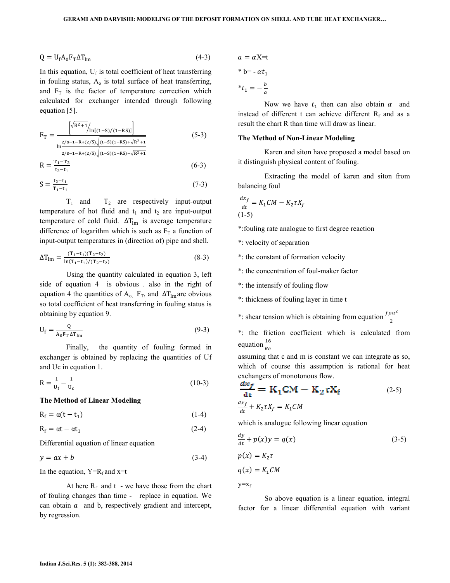$$
Q = U_f A_0 F_T \Delta T_{lm} \tag{4-3}
$$

In this equation,  $U_f$  is total coefficient of heat transferring in fouling status,  $A_0$  is total surface of heat transferring, and  $F_T$  is the factor of temperature correction which calculated for exchanger intended through following equation [5].

$$
F_T = \frac{\left[\sqrt{R^2 + 1}/\ln[(1-S)/(1-RS)]\right]}{\ln \frac{2/s - 1 - R + (2/S)\sqrt{(1-S)(1-RS) + \sqrt{R^2 + 1}}}{\sqrt{(1-S)(1-RS) + \sqrt{R^2 + 1}}}}
$$
(5-3)

$$
z/s-1-R+(2/S)\sqrt{(1-S)(1-RS)-\sqrt{R^2+1}}
$$
  
\n
$$
R = \frac{T_1-T_2}{t_2-t_1}
$$
 (6-3)

$$
S = \frac{t_2 - t_1}{T_1 - t_1} \tag{7-3}
$$

 $T_1$  and  $T_2$  are respectively input-output temperature of hot fluid and  $t_1$  and  $t_2$  are input-output temperature of cold fluid.  $\Delta T_{lm}$  is average temperature difference of logarithm which is such as  $F_T$  a function of input-output temperatures in (direction of) pipe and shell.

$$
\Delta T_{\rm lm} = \frac{(T_1 - t_1)(T_2 - t_2)}{\ln(T_1 - t_1)/(T_2 - t_2)}\tag{8-3}
$$

 Using the quantity calculated in equation 3, left side of equation 4 is obvious . also in the right of equation 4 the quantities of  $A_0$ ,  $F_T$ , and  $\Delta T_{lm}$ are obvious so total coefficient of heat transferring in fouling status is obtaining by equation 9.

$$
U_f = \frac{Q}{A_0 F_T \Delta T_{lm}}\tag{9-3}
$$

 Finally, the quantity of fouling formed in exchanger is obtained by replacing the quantities of Uf and Uc in equation 1.

$$
R = \frac{1}{U_f} - \frac{1}{U_c} \tag{10-3}
$$

#### The Method of Linear Modeling

$$
R_f = \alpha(t - t_1) \tag{1-4}
$$

$$
R_f = \alpha t - \alpha t_1 \tag{2-4}
$$

Differential equation of linear equation

$$
y = ax + b \tag{3-4}
$$

In the equation,  $Y=R_f$  and  $x=t$ 

At here  $R_f$  and t - we have those from the chart of fouling changes than time - replace in equation. We can obtain  $\alpha$  and b, respectively gradient and intercept, by regression.

$$
a = \alpha X = t
$$
  
\* b = - $\alpha t_1$   
\* $t_1 = -\frac{b}{\alpha}$ 

Now we have  $t_1$  then can also obtain  $\alpha$  and instead of different t can achieve different  $R_f$  and as a result the chart R than time will draw as linear.

#### The Method of Non-Linear Modeling

 Karen and siton have proposed a model based on it distinguish physical content of fouling.

 Extracting the model of karen and siton from balancing foul

$$
\frac{dx_f}{dt} = K_1 CM - K_2 \tau X_f
$$
  
(1-5)

\*:fouling rate analogue to first degree reaction

\*: velocity of separation

\*: the constant of formation velocity

\*: the concentration of foul-maker factor

- \*: the intensify of fouling flow
- \*: thickness of fouling layer in time t
- \*: shear tension which is obtaining from equation  $\frac{f\rho u^2}{2}$

\*: the friction coefficient which is calculated from equation  $\frac{16}{Re}$ 

assuming that c and m is constant we can integrate as so, which of course this assumption is rational for heat exchangers of monotonous flow.

$$
\frac{dx_f}{dt} = K_1 CM - K_2 \tau X_f
$$
\n
$$
\frac{dx_f}{dt} + K_2 \tau X_f = K_1 CM
$$
\n(2-5)

which is analogue following linear equation

$$
\frac{dy}{dt} + p(x)y = q(x)
$$
\n
$$
p(x) = K_2 \tau
$$
\n
$$
q(x) = K_1 CM
$$
\n
$$
y=x_f
$$
\n(3-5)

 So above equation is a linear equation. integral factor for a linear differential equation with variant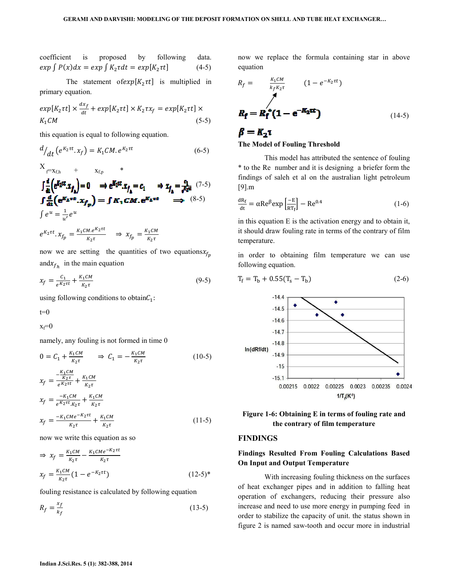coefficient is proposed by following data.  $\exp \int P(x) dx = \exp \int K_2 \tau dt = \exp [K_2 \tau t]$  (4-5)

The statement of  $exp[K_2 \tau t]$  is multiplied in primary equation.

$$
exp[K_2 \tau t] \times \frac{dx_f}{dt} + exp[K_2 \tau t] \times K_2 \tau x_f = exp[K_2 \tau t] \times K_1 CM
$$
\n(5-5)

this equation is equal to following equation.

$$
d/dt \left( e^{K_2 \tau t} . x_f \right) = K_1 C M . e^{K_2 \tau t} \tag{6-5}
$$

$$
\Delta_{\text{f}^{\text{in}} \times f_{\text{th}}} + \chi_{f_{\text{p}}}
$$
\n
$$
\int \frac{d}{dt} \left( e^{K_{2}t} \mathbf{x}_{f_{\text{p}}} \right) = 0 \implies e^{K_{2}t} \mathbf{x}_{f_{\text{h}}} = c_{1} \implies \mathbf{x}_{f_{\text{h}}} = \frac{c_{1}}{e^{K_{2}t}} \quad (7-5)
$$
\n
$$
\int \frac{d}{dt} \left( e^{K_{2}t\mathbf{x}} \mathbf{x}_{f_{\text{p}}} \right) = \int K_{1} \mathbf{C} \mathbf{M} \cdot e^{K_{2}t\mathbf{x}} \implies (8-5)
$$
\n
$$
\int e^{u} = \frac{1}{u'} e^{u}
$$
\n
$$
e^{K_{2}t} \mathbf{x}_{f_{\text{p}}} = \int K_{1} \mathbf{C} \mathbf{M} \cdot e^{K_{2}t\mathbf{x}} \qquad (8-5)
$$

$$
e^{K_2 \tau t} \cdot x_{f_p} = \frac{K_1 C M e^{K_2 \tau t}}{K_2 \tau} \quad \Rightarrow \quad x_{f_p} = \frac{K_1 C M}{K_2 \tau}
$$

now we are setting the quantities of two equations $x_{f_n}$ and  $x_{f_h}$  in the main equation

$$
x_f = \frac{c_1}{e^{K_2 \tau t}} + \frac{K_1 c M}{K_2 \tau} \tag{9-5}
$$

using following conditions to obtain $C_1$ :

 $t=0$ 

 $\overline{\mathbf{x}}$ 

 $x_f=0$ 

namely, any fouling is not formed in time 0

$$
0 = C_1 + \frac{k_1 CM}{k_2 \tau} \Rightarrow C_1 = -\frac{k_1 CM}{k_2 \tau}
$$
(10-5)  

$$
x_f = \frac{-\frac{K_1 CM}{k_2 \tau}}{e^{K_2 \tau t}} + \frac{k_1 CM}{k_2 \tau}
$$
  

$$
x_f = \frac{-K_1 CM}{e^{K_2 \tau t} K_2 \tau} + \frac{K_1 CM}{k_2 \tau}
$$
  

$$
x_f = \frac{-K_1 CMe^{-K_2 \tau t}}{k_2 \tau} + \frac{K_1 CM}{k_2 \tau}
$$
(11-5)

now we write this equation as so

$$
\Rightarrow x_f = \frac{K_1 CM}{K_2 \tau} - \frac{K_1 C Me^{-K_2 \tau t}}{K_2 \tau}
$$
  

$$
x_f = \frac{K_1 CM}{K_2 \tau} (1 - e^{-K_2 \tau t})
$$
 (12-5)\*

fouling resistance is calculated by following equation

$$
R_f = \frac{x_f}{k_f} \tag{13-5}
$$

now we replace the formula containing star in above equation

$$
R_f = \sum_{k_f K_2 \tau}^{K_1 CM} (1 - e^{-K_2 \tau t})
$$
  

$$
R_f = R_f^*(1 - e^{-K_2 \tau t})
$$
 (14-5)

## $\beta = K_2$ The Model of Fouling Threshold

 This model has attributed the sentence of fouling \* to the Re number and it is designing a briefer form the findings of saleh et al on the australian light petroleum [9].m

$$
\frac{dR_f}{dt} = \alpha Re^{\beta} exp\left[\frac{-E}{RT_f}\right] - Re^{0.4}
$$
 (1-6)

in this equation E is the activation energy and to obtain it, it should draw fouling rate in terms of the contrary of film temperature.

in order to obtaining film temperature we can use following equation.

$$
T_f = T_b + 0.55(T_s - T_b)
$$
 (2-6)





### FINDINGS

## Findings Resulted From Fouling Calculations Based On Input and Output Temperature

 With increasing fouling thickness on the surfaces of heat exchanger pipes and in addition to falling heat operation of exchangers, reducing their pressure also increase and need to use more energy in pumping feed in order to stabilize the capacity of unit. the status shown in figure 2 is named saw-tooth and occur more in industrial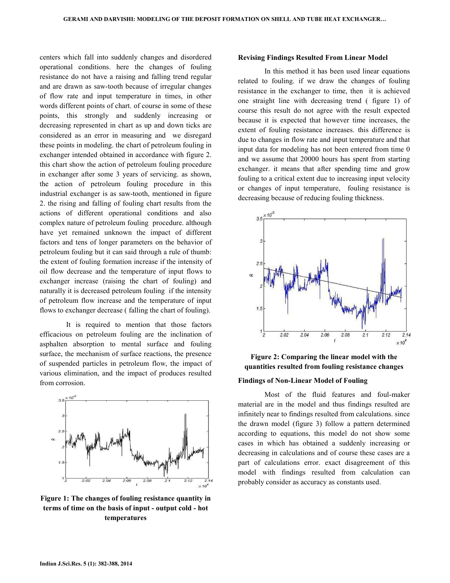centers which fall into suddenly changes and disordered operational conditions. here the changes of fouling resistance do not have a raising and falling trend regular and are drawn as saw-tooth because of irregular changes of flow rate and input temperature in times, in other words different points of chart. of course in some of these points, this strongly and suddenly increasing or decreasing represented in chart as up and down ticks are considered as an error in measuring and we disregard these points in modeling. the chart of petroleum fouling in exchanger intended obtained in accordance with figure 2. this chart show the action of petroleum fouling procedure in exchanger after some 3 years of servicing. as shown, the action of petroleum fouling procedure in this industrial exchanger is as saw-tooth, mentioned in figure 2. the rising and falling of fouling chart results from the actions of different operational conditions and also complex nature of petroleum fouling procedure. although have yet remained unknown the impact of different factors and tens of longer parameters on the behavior of petroleum fouling but it can said through a rule of thumb: the extent of fouling formation increase if the intensity of oil flow decrease and the temperature of input flows to exchanger increase (raising the chart of fouling) and naturally it is decreased petroleum fouling if the intensity of petroleum flow increase and the temperature of input flows to exchanger decrease ( falling the chart of fouling).

 It is required to mention that those factors efficacious on petroleum fouling are the inclination of asphalten absorption to mental surface and fouling surface, the mechanism of surface reactions, the presence of suspended particles in petroleum flow, the impact of various elimination, and the impact of produces resulted from corrosion.



Figure 1: The changes of fouling resistance quantity in terms of time on the basis of input - output cold - hot temperatures

#### Revising Findings Resulted From Linear Model

 In this method it has been used linear equations related to fouling. if we draw the changes of fouling resistance in the exchanger to time, then it is achieved one straight line with decreasing trend ( figure 1) of course this result do not agree with the result expected because it is expected that however time increases, the extent of fouling resistance increases. this difference is due to changes in flow rate and input temperature and that input data for modeling has not been entered from time 0 and we assume that 20000 hours has spent from starting exchanger. it means that after spending time and grow fouling to a critical extent due to increasing input velocity or changes of input temperature, fouling resistance is decreasing because of reducing fouling thickness.



Figure 2: Comparing the linear model with the quantities resulted from fouling resistance changes

### Findings of Non-Linear Model of Fouling

 Most of the fluid features and foul-maker material are in the model and thus findings resulted are infinitely near to findings resulted from calculations. since the drawn model (figure 3) follow a pattern determined according to equations, this model do not show some cases in which has obtained a suddenly increasing or decreasing in calculations and of course these cases are a part of calculations error. exact disagreement of this model with findings resulted from calculation can probably consider as accuracy as constants used.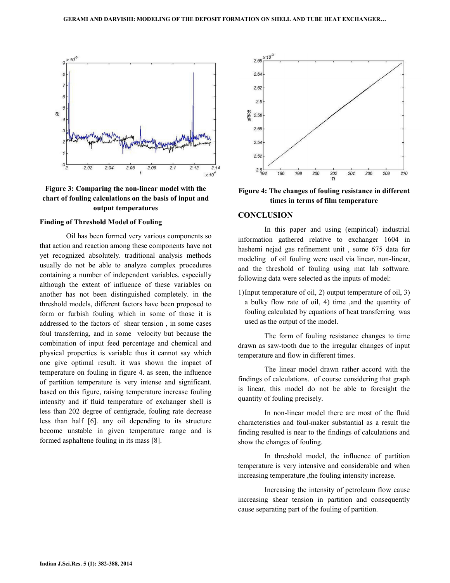

Figure 3: Comparing the non-linear model with the chart of fouling calculations on the basis of input and output temperatures

#### Finding of Threshold Model of Fouling

 Oil has been formed very various components so that action and reaction among these components have not yet recognized absolutely. traditional analysis methods usually do not be able to analyze complex procedures containing a number of independent variables. especially although the extent of influence of these variables on another has not been distinguished completely. in the threshold models, different factors have been proposed to form or furbish fouling which in some of those it is addressed to the factors of shear tension , in some cases foul transferring, and in some velocity but because the combination of input feed percentage and chemical and physical properties is variable thus it cannot say which one give optimal result. it was shown the impact of temperature on fouling in figure 4. as seen, the influence of partition temperature is very intense and significant. based on this figure, raising temperature increase fouling intensity and if fluid temperature of exchanger shell is less than 202 degree of centigrade, fouling rate decrease less than half [6]. any oil depending to its structure become unstable in given temperature range and is formed asphaltene fouling in its mass [8].



Figure 4: The changes of fouling resistance in different times in terms of film temperature

### **CONCLUSION**

 In this paper and using (empirical) industrial information gathered relative to exchanger 1604 in hashemi nejad gas refinement unit , some 675 data for modeling of oil fouling were used via linear, non-linear, and the threshold of fouling using mat lab software. following data were selected as the inputs of model:

1)Input temperature of oil, 2) output temperature of oil, 3) a bulky flow rate of oil, 4) time ,and the quantity of fouling calculated by equations of heat transferring was used as the output of the model.

 The form of fouling resistance changes to time drawn as saw-tooth due to the irregular changes of input temperature and flow in different times.

 The linear model drawn rather accord with the findings of calculations. of course considering that graph is linear, this model do not be able to foresight the quantity of fouling precisely.

 In non-linear model there are most of the fluid characteristics and foul-maker substantial as a result the finding resulted is near to the findings of calculations and show the changes of fouling.

 In threshold model, the influence of partition temperature is very intensive and considerable and when increasing temperature ,the fouling intensity increase.

 Increasing the intensity of petroleum flow cause increasing shear tension in partition and consequently cause separating part of the fouling of partition.